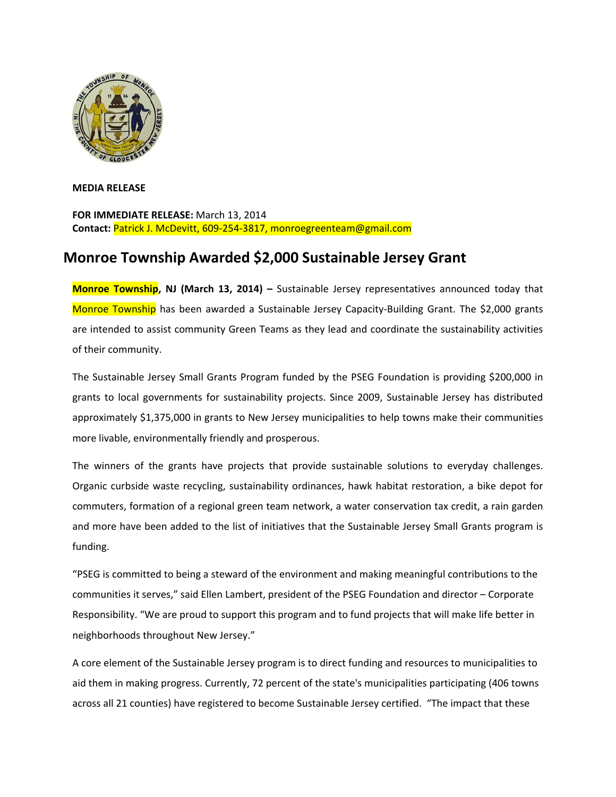

**MEDIA RELEASE**

**FOR IMMEDIATE RELEASE:** March 13, 2014 **Contact:** Patrick J. McDevitt, 609‐254‐3817, monroegreenteam@gmail.com

## **Monroe Township Awarded \$2,000 Sustainable Jersey Grant**

**Monroe Township, NJ (March 13, 2014) –** Sustainable Jersey representatives announced today that Monroe Township has been awarded a Sustainable Jersey Capacity-Building Grant. The \$2,000 grants are intended to assist community Green Teams as they lead and coordinate the sustainability activities of their community.

The Sustainable Jersey Small Grants Program funded by the PSEG Foundation is providing \$200,000 in grants to local governments for sustainability projects. Since 2009, Sustainable Jersey has distributed approximately \$1,375,000 in grants to New Jersey municipalities to help towns make their communities more livable, environmentally friendly and prosperous.

The winners of the grants have projects that provide sustainable solutions to everyday challenges. Organic curbside waste recycling, sustainability ordinances, hawk habitat restoration, a bike depot for commuters, formation of a regional green team network, a water conservation tax credit, a rain garden and more have been added to the list of initiatives that the Sustainable Jersey Small Grants program is funding.

"PSEG is committed to being a steward of the environment and making meaningful contributions to the communities it serves," said Ellen Lambert, president of the PSEG Foundation and director – Corporate Responsibility. "We are proud to support this program and to fund projects that will make life better in neighborhoods throughout New Jersey."

A core element of the Sustainable Jersey program is to direct funding and resources to municipalities to aid them in making progress. Currently, 72 percent of the state's municipalities participating (406 towns across all 21 counties) have registered to become Sustainable Jersey certified. "The impact that these